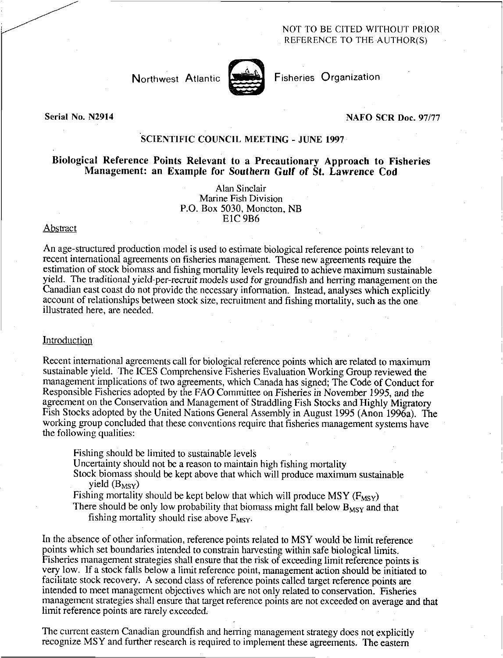# NOT TO BE CITED WITHOUT PRIOR REFERENCE TO THE AUTHOR(S)

Northwest Atlantic



Fisheries Organization

Serial No. N2914

#### NAFO SCR Doc. 97/77

# SCIENTIFIC COUNCIL MEETING - JUNE 1997

# Biological Reference Points Relevant to a Precautionary Approach to Fisheries Management: an Example for *Southern* Gulf of St. Lawrence Cod

Alan Sinclair Marine Fish Division P.O. Box 5030, Moncton, NB E1C 9B6

### Abstract

An age-structured production model is used to estimate biological reference points relevant to recent international agreements on fisheries management. These new agreements require the estimation of stock biomass and fishing mortality levels required to achieve maximum sustainable yield. The traditional yield-per-recruit models used for groundfish and herring management on the Canadian east coast do not provide the necessary information. Instead, analyses which explicitly account of relationships between stock size, recruitment and fishing mortality, such as the one illustrated here, are needed.

#### **Introduction**

Recent international agreements call for biological reference points which are related to maximum sustainable yield. The ICES Comprehensive Fisheries Evaluation Working Group reviewed the management implications of two agreements, which Canada has signed; The Code of Conduct for Responsible Fisheries adopted by the FAO Committee on Fisheries in November 1995, and the agreement on the Conservation and Management of Straddling Fish Stocks and Highly Migratory Fish Stocks adopted by the United Nations General Assembly in August 1995 (Anon 1996a). The working group concluded that these conventions require that fisheries management systems have the following qualities:

Fishing should be limited to sustainable levels

Uncertainty should not be a reason to maintain high fishing mortality

Stock biomass should be kept above that which will produce maximum sustainable yield  $(B_{MSY})$ 

Fishing mortality should be kept below that which will produce MSY ( $F_{MSY}$ )

There should be only low probability that biomass might fall below  $B_{MSY}$  and that fishing mortality should rise above  $F_{\text{MSV}}$ .

In the absence of other information, reference points related to MSY would be limit reference points which set boundaries intended to constrain harvesting within safe biological limits. Fisheries management strategies shall ensure that the risk of exceeding limit reference points is very low. If a stock falls below a limit reference point, management action should be initiated to facilitate stock recovery. A second class of reference points called target reference points are intended to meet management objectives which are not only related to conservation. Fisheries management strategies shall ensure that target reference points are not exceeded on average and that limit reference points are rarely exceeded.

The current eastern Canadian groundfish and herring management strategy does not explicitly recognize MSY and further research is required to implement these agreements. The eastern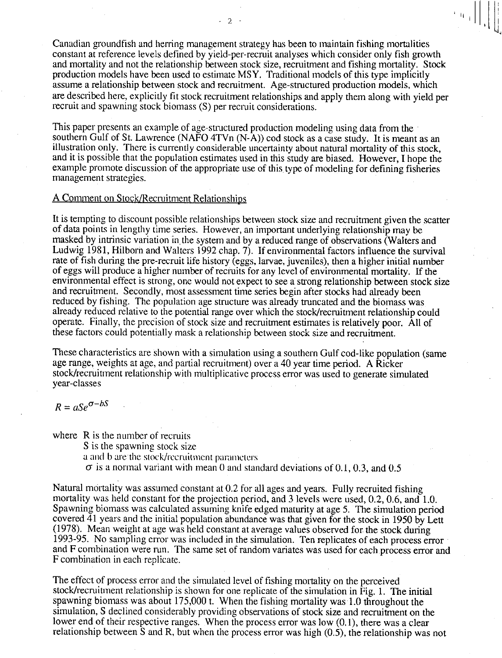Canadian groundfish and herring management strategy has been to maintain fishing mortalities constant at reference levels defined by yield-per-recruit analyses which consider only fish growth and mortality and not the relationship between stock size, recruitment and fishing mortality. Stock production models have been used to estimate MSY. Traditional models of this type implicitly assume a relationship between stock and recruitment. Age-structured production models, which are described here, explicitly fit stock recruitment relationships and apply them along with yield per recruit and spawning stock biomass (S) per recruit considerations.

 $\mathcal{D}$ 

This paper presents an example of age-structured production modeling using data from the southern Gulf of St. Lawrence (NAFO 4TVn (N-A)) cod stock as a case study. It is meant as an illustration only. There is currently considerable uncertainty about natural mortality of this stock, and it is possible that the population estimates used in this study are biased. However, I hope the example promote discussion of the appropriate use of this, type of modeling for defining fisheries management strategies.

### A Comment on Stock/Recruitment Relationships

It is tempting to discount possible relationships between stock size and recruitment given the scatter of data points in lengthy time series. However, an important underlying relationship may be masked by intrinsic variation in the system and by a reduced range of observations (Walters and Ludwig 1981, Hilborn and Walters 1992 chap. 7). If environmental factors influence the survival rate of fish during the pre-recruit life history (eggs, larvae, juveniles), then a higher initial number of eggs will produce a higher number of recruits for any level of environmental mortality. If the environmental effect is strong, one would not expect to see a strong relationship between stock size and recruitment. Secondly, most assessment time series begin after stocks had already been reduced by fishing. The population age structure was already truncated and the biomass was already reduced relative to the potential range over which the stock/recruitment relationship could operate. Finally, the precision of stock size and recruitment estimates is relatively poor. All of these factors could potentially mask a relationship between stock size and recruitment.

These characteristics are shown with a simulation using a southern Gulf cod-like population (same age range, weights at age, and partial recruitment) over a 40 year time period. A Ricker stock/recruitment relationship with multiplicative process error was used to generate simulated year-classes

$$
R = aSe^{\sigma - bS}
$$

where R is the number of recruits S is the spawning stock size a and b are the stock/recruitment parameters  $\sigma$  is a normal variant with mean 0 and standard deviations of 0.1, 0.3, and 0.5

Natural mortality was assumed constant at 0.2 for all ages and years. Fully recruited fishing mortality was held constant for the projection period, and 3 levels were used, 0.2, 0.6, and 1.0. Spawning biomass was calculated assuming knife edged maturity at age 5. The simulation period covered 41 years and the initial population abundance was that given for the stock in 1950 by Lett (1978). Mean weight at age was held constant at average values observed for the stock during 1993-95. No sampling error was included in the simulation. Ten replicates of each process error and F combination were run. The same set of random variates was used for each process error and F combination in each replicate.

The effect of process error and the simulated level of fishing mortality on the perceived stock/recruitment relationship is shown for one replicate of the simulation in Fig. 1. The initial spawning biomass was about 175,000 t. When the fishing mortality was 1.0 throughout the simulation, S declined considerably providing observations of stock size and recruitment on the lower end of their respective ranges. When the process error was low  $(0.1)$ , there was a clear relationship between S and R, but when the process error was high (0.5), the relationship was not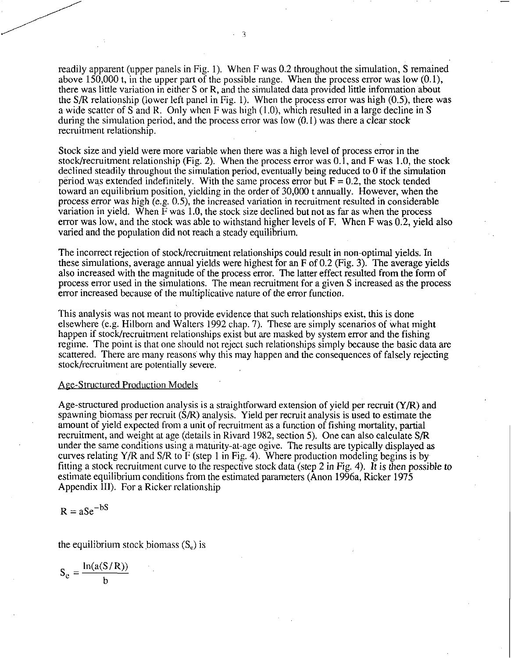readily apparent (upper panels in Fig. 1). When F was 0.2 throughout the simulation, S remained above 150,000 t, in the upper part of the possible range. When the process error was low (0.1), there was little variation in either S or R, and the simulated data provided little information about the S/R relationship (lower left panel in Fig. 1). When the process error was high (0.5), there was a wide scatter of S and R. Only when F was high (1.0), which resulted in a large decline in S during the simulation period, and the process error was low  $(0.1)$  was there a clear stock recruitment relationship.

Stock size and yield were more variable when there was a high level of process error in the stock/recruitment relationship (Fig. 2). When the process error was  $0.\overline{1}$ , and F was 1.0, the stock declined steadily throughout the simulation period, eventually being reduced to 0 if the simulation period was extended indefinitely. With the same process error but  $F = 0.2$ , the stock tended toward an equilibrium position, yielding in the order of 30,000 t annually. However, when the process error was high (e.g. 0.5), the increased variation in recruitment resulted in considerable variation in yield. When F was 1.0, the stock size declined but not as far as when the process error was low, and the stock was able to withstand higher levels of F. When F was 0.2, yield also varied and the population did not reach a steady equilibrium.

The incorrect rejection of stock/recruitment relationships could result in non-optimal yields. In these simulations, average annual yields were highest for an F of 0.2 (Fig. 3). The average yields also increased with the magnitude of the process error. The latter effect resulted from the form of process error used in the simulations. The mean recruitment for a given S increased as the process error increased because of the multiplicative nature of the error function.

This analysis was not meant to provide evidence that such relationships exist, this is done elsewhere (e.g. Hilborn and Walters 1992 chap. 7). These are simply scenarios of what might happen if stock/recruitment relationships exist but are masked by system error and the fishing regime. The point is that one should not reject such relationships simply because the basic data are scattered. There are many reasons why this may happen and the consequences of falsely rejecting stock/recruitment are potentially severe.

#### Age-Structured Production Models

Age-structured production analysis is a straightforward extension of yield per recruit (Y/R) and spawning biomass per recruit (S/R) analysis. Yield per recruit analysis is used to estimate the amount of yield expected from a unit of recruitment as a function of fishing mortality, partial recruitment, and weight at age (details in Rivard 1982, section 5). One can also calculate S/R under the same conditions using a maturity-at-age ogive. The results are typically displayed as curves relating Y/R and S/R to F (step 1 in Fig. 4). Where production modeling begins is by fitting a stock recruitment curve to the respective stock data (step 2 in Fig. 4). It is then possible to estimate equilibrium conditions from the estimated parameters (Anon 1996a, Ricker 1975 Appendix III). For a Ricker relationship

$$
R = aSe^{-bS}
$$

the equilibrium stock biomass  $(S_e)$  is

$$
S_e = \frac{\ln(a(S/R))}{b}
$$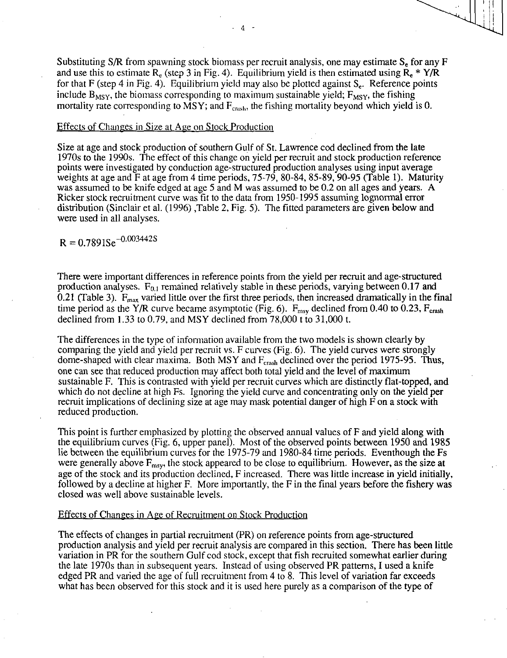Substituting S/R from spawning stock biomass per recruit analysis, one may estimate  $S<sub>r</sub>$  for any F and use this to estimate  $R_e$  (step 3 in Fig. 4). Equilibrium yield is then estimated using  $R_e * Y/R$ for that F (step 4 in Fig. 4). Equilibrium yield may also be plotted against  $S_e$ . Reference points include  $B_{MSY}$ , the biomass corresponding to maximum sustainable yield;  $F_{MSY}$ , the fishing mortality rate corresponding to  $\overline{M}SY$ ; and  $F_{\text{crash}}$ , the fishing mortality beyond which yield is 0.

### Effects of Changes in Size at Age on Stock Production

Size at age and stock production of southern Gulf of St. Lawrence cod declined from the late 1970s to the 1990s. The effect of this change on yield per recruit and stock production reference points were investigated by conduction age-structured production analyses using input average weights at age and F at age from 4 time periods, 75-79, 80-84, 85-89, 90-95 (Table 1). Maturity was assumed to be knife edged at age 5 and M was assumed to be 0.2 on all ages and years. A Ricker stock recruitment curve was fit to the data from 1950-1995 assuming lognormal error distribution (Sinclair et al. (1996) ,Table 2, Fig. 5). The fitted parameters are given below and were used in all analyses.

 $R = 0.7891$ Se<sup>-0.003442S</sup>

There were important differences in reference points from the yield per recruit and age-structured production analyses.  $F_{0.1}$  remained relatively stable in these periods, varying between 0.17 and 0.21 (Table 3).  $F_{\text{max}}$  varied little over the first three periods, then increased dramatically in the final time period as the Y/R curve became asymptotic (Fig. 6).  $F_{\text{msy}}$  declined from 0.40 to 0.23,  $F_{\text{crash}}$ declined from 1.33 to 0.79, and MSY declined from 78,000 t to 31,000 t.

The differences in the type of information available from the two models is shown clearly by comparing the yield and yield per recruit vs. F curves (Fig. 6). The yield curves were strongly dome-shaped with clear maxima. Both MSY and  $F_{crash}$  declined over the period 1975-95. Thus, one can see that reduced production may affect both total yield and the level of maximum sustainable F. This is contrasted with yield per recruit curves which are distinctly flat-topped, and which do not decline at high Fs. Ignoring the yield curve and concentrating only on the yield per recruit implications of declining size at age may mask potential danger of high F on a stock with reduced production.

This point is further emphasized by plotting the observed annual values of F and yield along with the equilibrium curves (Fig. 6, upper panel). Most of the observed points between 1950 and 1985 lie between the equilibrium curves for the 1975-79 and 1980-84 time periods. Eventhough the Fs were generally above  $F_{\text{msy}}$ , the stock appeared to be close to equilibrium. However, as the size at age of the stock and its production declined, F increased. There was little increase in yield initially, followed by a decline at higher F. More importantly, the F in the final years before the fishery was closed was well above sustainable levels.

### Effects of Changes in Age of Recruitment on Stock Production

The effects of changes in partial recruitment (PR) on reference points from age-structured production analysis and yield per recruit analysis are compared in this section. There has been little variation in PR for the southern Gulf cod stock, except that fish recruited somewhat earlier during the late 1970s than in subsequent years. Instead of using observed PR patterns, I used a knife edged PR and varied the age of full recruitment from 4 to 8. This level of variation far exceeds what has been observed for this stock and it is used here purely as a comparison of the type of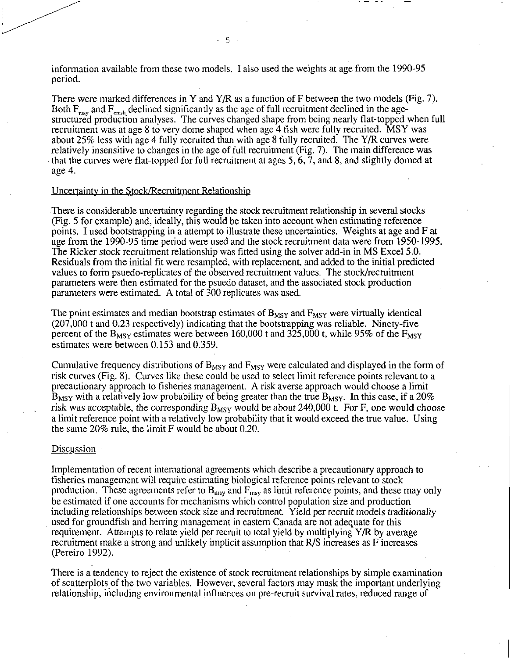information available from these two models. I also used the weights at age from the 1990-95 period.

There were marked differences in Y and Y/R as a function of F between the two models (Fig. 7). Both  $F_{\text{msy}}$  and  $F_{\text{crash}}$  declined significantly as the age of full recruitment declined in the agestructured production analyses. The curves changed shape from being nearly flat-topped when full recruitment was at age 8 to very dome shaped when age 4 fish were fully recruited. MSY was about 25% less with age 4 fully recruited than with age 8 fully recruited. The Y/R curves were relatively insensitive to changes in the age of full recruitment (Fig. 7). The main difference was that the curves were flat-topped for full recruitment at ages 5, 6, 7, and 8, and slightly domed at age 4.

# Uncertainty in the Stock/Recruitment Relationship

There is considerable uncertainty regarding the stock recruitment relationship in several stocks (Fig. 5 for example) and, ideally, this would be taken into account when estimating reference points. I used bootstrapping in a attempt to illustrate these uncertainties. Weights at age and F at age from the 1990-95 time period were used and the stock recruitment data were from 1950-1995. The Ricker stock recruitment relationship was fitted using the solver add-in in MS Excel 5.0. Residuals from the initial fit were resampled, with replacement, and added to the initial predicted values to form psuedo-replicates of the observed recruitment values. The stock/recruitment parameters were then estimated for the psuedo dataset, and the associated stock production parameters were estimated. A total of 300 replicates was used.

The point estimates and median bootstrap estimates of  $B_{MSY}$  and  $F_{MSY}$  were virtually identical (207,000 t and 0.23 respectively) indicating that the bootstrapping was reliable. Ninety-five percent of the  $B_{MSY}$  estimates were between 160,000 t and 325,000 t, while 95% of the  $F_{MSY}$ estimates were between 0.153 and 0.359.

Cumulative frequency distributions of  $B_{MSY}$  and  $F_{MSY}$  were calculated and displayed in the form of risk curves (Fig. 8). Curves like these could be used to select limit reference points relevant to a precautionary approach to fisheries management. A risk averse approach would choose a limit  $B_{MSY}$  with a relatively low probability of being greater than the true  $B_{MSY}$ . In this case, if a 20% risk was acceptable, the corresponding  $B_{MSV}$  would be about 240,000 t. For F, one would choose a limit reference point with a relatively low probability that it would exceed the true value. Using the same 20% rule, the limit F would be about 0.20.

#### Discussion

Implementation of recent international agreements which describe a precautionary approach to fisheries management will require estimating biological reference points relevant to stock production. These agreements refer to  $B_{\text{msy}}$  and  $F_{\text{msy}}$  as limit reference points, and these may only be estimated if one accounts for mechanisms which control population size and production including relationships between stock size and recruitment. Yield per recruit models traditionally used for groundfish and herring management in eastern Canada are not adequate for this requirement. Attempts to relate yield per recruit to total yield by multiplying Y/R by average recruitment make a strong and unlikely implicit assumption that R/S increases as F increases (Pereiro 1992).

There is a tendency to reject the existence of stock recruitment relationships by simple examination of scatterplots of the two variables. However, several factors may mask the important underlying relationship, including environmental influences on pre-recruit survival rates, reduced range of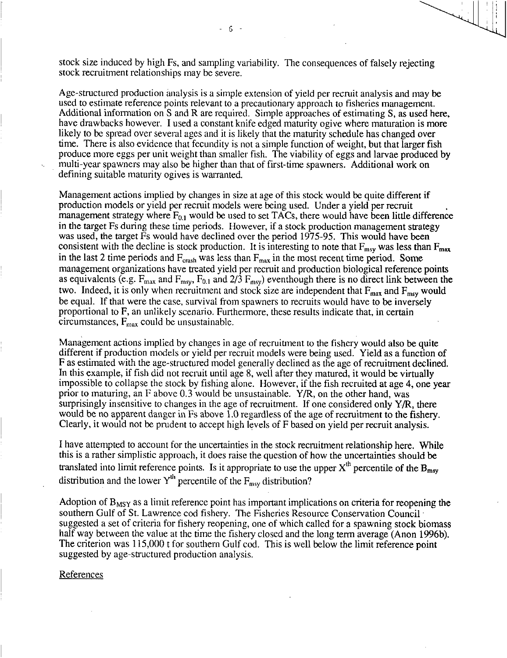stock size induced by high Fs, and sampling variability. The consequences of falsely rejecting stock recruitment relationships may be severe.

Age-structured production analysis is a simple extension of yield per recruit analysis and may be used to estimate reference points relevant to a precautionary approach to fisheries management. Additional information on S and R are required. Simple approaches of estimating S, as used here, have drawbacks however. I used a constant knife edged maturity ogive where maturation is more likely to be spread over several ages and it is likely that the maturity schedule has changed over time. There is also evidence that fecundity is not a simple function of weight, but that larger fish produce more eggs per unit weight than smaller fish. The viability of eggs and larvae produced by multi-year spawners may also be higher than that of first-time spawners. Additional work on defining suitable maturity ogives is warranted.

Management actions implied by changes in size at age of this stock would be quite different if production models or yield per recruit models were being used. Under a yield per recruit management strategy where  $F_{0,1}$  would be used to set TACs, there would have been little difference in the target Fs during these time periods. However, if a stock production management strategy was used, the target Fs would have declined over the period 1975-95. This would have been consistent with the decline is stock production. It is interesting to note that  $F_{\text{msy}}$  was less than  $F_{\text{max}}$ in the last 2 time periods and  $F_{crash}$  was less than  $F_{max}$  in the most recent time period. Some management organizations have treated yield per recruit and production biological reference points as equivalents (e.g.  $F_{\text{max}}$  and  $F_{\text{msy}}$ ,  $F_{0.1}$  and  $2/\overline{3} F_{\text{msy}}$ ) eventhough there is no direct link between the two. Indeed, it is only when recruitment and stock size are independent that  $F_{\text{max}}$  and  $F_{\text{msy}}$  would be equal. If that were the case, survival from spawners to recruits would have to be inversely proportional to F, an unlikely scenario. Furthermore, these results indicate that, in certain circumstances,  $F_{\text{max}}$  could be unsustainable.

Management actions implied by changes in age of recruitment to the fishery would also be quite different if production models or yield per recruit models were being used. Yield as a function of F as estimated with the age-structured model generally declined as the age of recruitment declined. In this example, if fish did not recruit until age 8, well after they matured, it would be virtually impossible to collapse the stock by fishing alone. However, if the fish recruited at age 4, one year prior to maturing, an F above 0.3 would be unsustainable. Y/R, on the other hand, was surprisingly insensitive to changes in the age of recruitment. If one considered only Y/R, there would be no apparent danger in Fs above 1.0 regardless of the age of recruitment to the fishery. Clearly, it would not be prudent to accept high levels of F based on yield per recruit analysis.

I have attempted to account for the uncertainties in the stock recruitment relationship here. While this is a rather simplistic approach, it does raise the question of how the uncertainties should be translated into limit reference points. Is it appropriate to use the upper  $X^{th}$  percentile of the  $B_{\text{max}}$ distribution and the lower  $Y^{th}$  percentile of the  $F_{msy}$  distribution?

Adoption of  $B_{MSY}$  as a limit reference point has important implications on criteria for reopening the southern Gulf of St. Lawrence cod fishery. The Fisheries Resource Conservation Council suggested a set of criteria for fishery reopening, one of which called for a spawning stock biomass half way between the value at the time the fishery closed and the long term average (Anon 1996b). The criterion was 115,000 t for southern Gulf cod. This is well below the limit reference point suggested by age-structured production analysis.

## **References**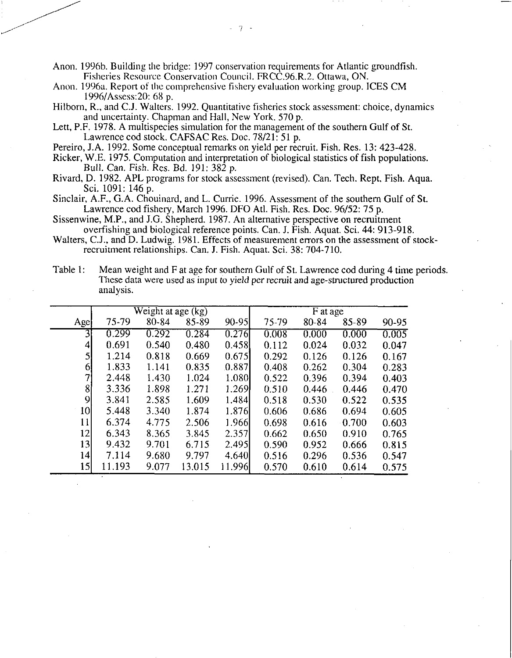Anon. 1996b. Building the bridge: 1997 conservation requirements for Atlantic groundfish. Fisheries Resource Conservation Council. FRCC.96.R.2. Ottawa, ON.

- Anon. 1996a. Report of the comprehensive fishery evaluation working group. ICES CM 1996/Assess:20: 68 p.
- Hilborn, R., and C.J. Walters. 1992. Quantitative fisheries stock assessment: choice, dynamics and uncertainty. Chapman and Hall, New York. 570 p.
- Lett, P.F. 1978. A multispecies simulation for the management of the southern Gulf of St. Lawrence cod stock. CAFSAC Res. Doc. 78/21: 51 p.
- Pereiro, J.A. 1992. Some conceptual remarks on yield per recruit. Fish. Res. 13: 423-428.
- Ricker, W.E. 1975. Computation and interpretation of biological statistics of fish populations. Bull. Can. Fish. Res. Bd. 191: 382 p.
- Rivard, D. 1982. APL programs for stock assessment (revised). Can. Tech. Rept. Fish. Aqua. Sci. 1091: 146 p.
- Sinclair, A.F., G.A. Chouinard, and L. Currie. 1996. Assessment of the southern Gulf of St. Lawrence cod fishery, March 1996. DFO Atl. Fish. Res. Doc. 96/52: 75 p.
- Sissenwine, M.P., and J.G. Shepherd. 1987. An alternative perspective on recruitment overfishing and biological reference points. Can. J. Fish. Aquat. Sci. 44: 913-918.
- Walters, C.J., and D. Ludwig. 1981. Effects of measurement errors on the assessment of stockrecruitment relationships. Can. J. Fish. Aquat. Sci. 38: 704-710.

| Table 1: | Mean weight and F at age for southern Gulf of St. Lawrence cod during 4 time periods.<br>These data were used as input to yield per recruit and age-structured production<br>analysis. |
|----------|----------------------------------------------------------------------------------------------------------------------------------------------------------------------------------------|
|          |                                                                                                                                                                                        |

|                 |        | Weight at age $(kg)$ |        |           | F at age |       |          |       |  |  |
|-----------------|--------|----------------------|--------|-----------|----------|-------|----------|-------|--|--|
| Age             | 75-79  | 80-84                | 85-89  | $90 - 95$ | 75-79    | 80-84 | 85-89    | 90-95 |  |  |
| $\overline{3}$  | 0.299  | 0.292                | 0.284  | 0.276     | 0.008    | 0.000 | 0.000    | 0.005 |  |  |
| $\vert 4 \vert$ | 0.691  | 0.540                | 0.480  | 0.458     | 0.112    | 0.024 | 0.032    | 0.047 |  |  |
| $\mathsf{5}$    | 1.214  | 0.818                | 0.669  | 0.675     | 0.292    | 0.126 | 0.126    | 0.167 |  |  |
| $6\overline{6}$ | 1.833  | 1.141                | 0.835  | .0.887    | 0.408    | 0.262 | 0.304    | 0.283 |  |  |
| 7 <sub>l</sub>  | 2.448  | 1.430                | 1.024  | 1.080     | 0.522    | 0.396 | 0.394    | 0.403 |  |  |
| 8               | 3.336  | 1.898                | 1.271  | 1.269     | 0.510    | 0.446 | 0.446    | 0.470 |  |  |
| 9               | 3.841  | 2.585                | 1.609  | 1.484     | 0.518    | 0.530 | 0.522    | 0.535 |  |  |
| 10 <sup>1</sup> | 5.448  | 3.340                | 1.874  | 1.876     | 0.606    | 0.686 | 0.694    | 0.605 |  |  |
| 11              | 6.374  | 4.775                | 2.506  | 1.966     | 0.698    | 0.616 | $-0.700$ | 0.603 |  |  |
| 12              | 6.343  | 8.365                | 3.845  | 2.357     | 0.662    | 0.650 | 0.910    | 0.765 |  |  |
| 13              | 9.432  | 9.701                | 6.715  | 2.495     | 0.590    | 0.952 | 0.666    | 0.815 |  |  |
| 4               | 7.114  | 9.680                | 9.797  | 4.640     | 0.516    | 0.296 | 0.536    | 0.547 |  |  |
| 15              | 11.193 | 9.077                | 13.015 | 11.996    | 0.570    | 0.610 | 0.614    | 0.575 |  |  |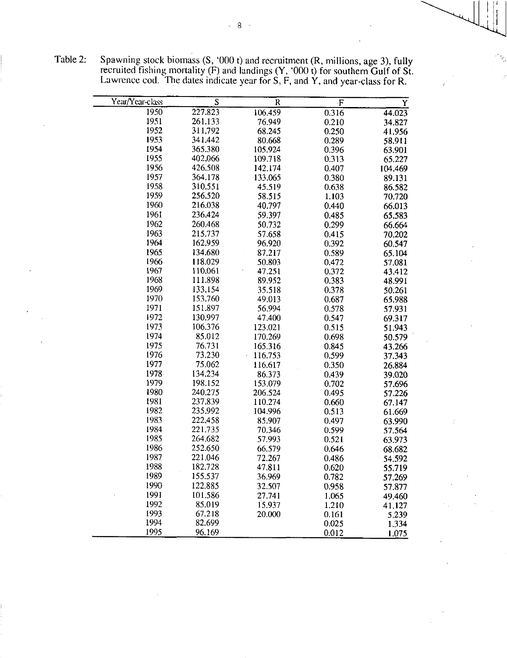| Y                | $\mathbf F$    | R       | S       | Year/Year-class |
|------------------|----------------|---------|---------|-----------------|
| 44.023           | 0.316          | 106.459 | 227.823 | 1950            |
| 34.827           | 0.210          | 76.949  | 261.133 | 1951            |
| 41.956           | 0.250          | 68.245  | 311.792 | 1952            |
| 58.911           | 0.289          | 80.668  | 341 442 | 1953            |
| 63.901           | 0.396          | 105.924 | 365.380 | 1954            |
| 65.227           | 0.313          | 109.718 | 402.066 | 1955            |
| 104.469          | 0.407          | 142.174 | 426.508 | 1956            |
| 89.131           | 0.380          | 133.065 | 364.178 | 1957            |
| 86.582           | 0.638          | 45.519  | 310.551 | 1958            |
| 70.720           | 1.103          | 58.515  | 256.520 | 1959            |
| 66.013           | 0.440          | 40.797  | 216.038 | 1960            |
| 65.583           | 0.485          | 59.397  | 236.424 | 1961            |
| 66.664           | 0.299          | 50.732  | 260.468 | 1962            |
| 70.202           | 0.415          | 57.658  | 215.737 | 1963            |
| 60.547           | 0.392          | 96.920  | 162.959 | 1964            |
| 65.104           | 0.589          | 87.217  | 134.680 | 1965            |
| 57.081           | 0.472          | 50.803  | 118.029 | 1966            |
| 43.412           | 0.372          | 47.251  | 110 061 | 1967            |
| 48.991           | 0.383          | 89.952  | 111898  | 1968            |
| 50.261           | 0.378          | 35.518  | 133.154 | 1969            |
| 65.988           | 0.687          | 49.013  | 153.760 | 1970            |
| 57.931           | 0.578          | 56.994  | 151.897 | 1971            |
| 69.317           | 0.547          | 47.400  | 130.997 | 1972            |
| 51.943           | 0.515          | 123.021 | 106.376 | 1973            |
| 50.579           | 0.698          | 170.269 | 85.012  | 1974            |
| 43.266           | 0.845          | 165.316 | 76.731  | 1975            |
| 37.343           | 0.599          | 116.753 | 73.230  | 1976            |
| 26.884           | 0.350          | 116.617 | 75.062  | 1977            |
| 39.020           | 0.439          | 86.373  | 134 234 | 1978.           |
| 57.696           | 0.702          | 153.079 | 198.152 | 1979            |
| 57.226           | 0.495          | 206.524 | 240.275 | 1980            |
| 67.147           | 0.660          | 110.274 | 237.839 | 1981            |
| 61.669           | 0.513          | 104.996 | 235.992 | 1982            |
| 63.990           | 0.497          | 85.907  | 222.458 | 1983            |
| 57.564           | 0.599          | 70.346  | 221.735 | 1984            |
| 63.973           | 0.521          | 57.993  | 264.682 | 1985            |
|                  | 0.646          | 66.579  | 252.650 | 1986            |
| 68.682<br>54.592 | 0.486          | 72.267  | 221.046 | 1987            |
|                  | 0.620          | 47.811  | 182.728 | 1988            |
| 55.719           | 0.782          | 36.969  | 155.537 | 1989            |
| 57.269           |                | 32.507  | 122.885 | 1990            |
| 57.877           | 0.958          | 27.741  | 101.586 | 1991            |
| 49.460           | 1.065          | 15.937  | 85.019  | 1992            |
| 41.127           | 1.210<br>0.161 |         | 67.218  | 1993            |
| 5.239            |                | 20.000  | 82.699  | 1994            |
| 1.334            | 0.025<br>0.012 |         | 96.169  | 1995            |

Table 2: Spawning stock biomass  $(S, '000 t)$  and recruitment  $(R,$  millions, age 3), fully recruited fishing mortality (F) and landings  $(Y, '000 t)$  for southern Gulf of St.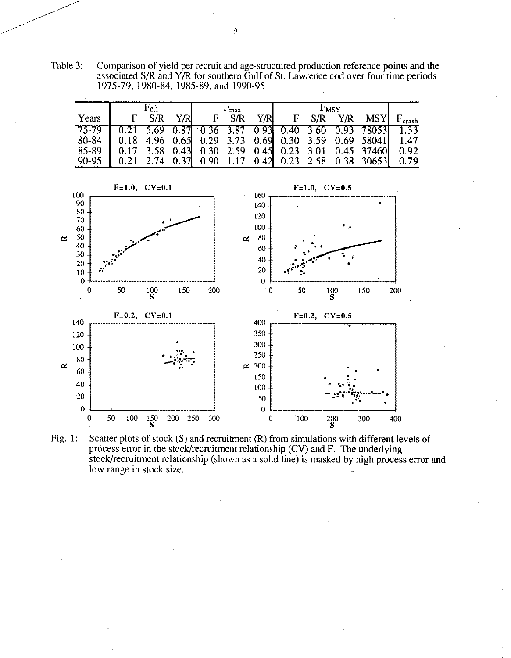Table 3: Comparison of yield per recruit and age-structured production reference points and the associated S/R and Y/R for southern Gulf of St. Lawrence cod over four time periods 1975-79, 1980-84, 1985-89, and 1990-95

|           |    |       |      | ำทลม |       |      | $F_{\rm MSY}$ |     |  |                                                                                                                 |  |
|-----------|----|-------|------|------|-------|------|---------------|-----|--|-----------------------------------------------------------------------------------------------------------------|--|
| Years     | F. | - S/R | Y/RI |      | F S/R | Y/RI | $\mathbf{F}$  | S/R |  | $Y/R$ MSY $F_{crash}$                                                                                           |  |
| $75 - 79$ |    |       |      |      |       |      |               |     |  | $\begin{array}{cccccc} 0.21 & 5.69 & 0.87 & 0.36 & 3.87 & 0.93 & 0.40 & 3.60 & 0.93 & 78053 & 1.33 \end{array}$ |  |
| 80-84     |    |       |      |      |       |      |               |     |  | $\begin{bmatrix} 0.18 & 4.96 & 0.65 \end{bmatrix}$ 0.29 3.73 0.69 0.30 3.59 0.69 58041 1.47                     |  |
| 85-89     |    |       |      |      |       |      |               |     |  | 0.17 3.58 0.43 0.30 2.59 0.45 0.23 3.01 0.45 37460 0.92                                                         |  |
| $90-95$   |    |       |      |      |       |      |               |     |  | 0.21 2.74 0.37 0.90 1.17 0.42 0.23 2.58 0.38 30653 0.79                                                         |  |



Fig. 1: Scatter plots of stock (S) and recruitment (R) from simulations with different levels of process error in the stock/recruitment relationship (CV) and F. The underlying stock/recruitment relationship (shown as a solid line) is masked by high process error and low range in stock size.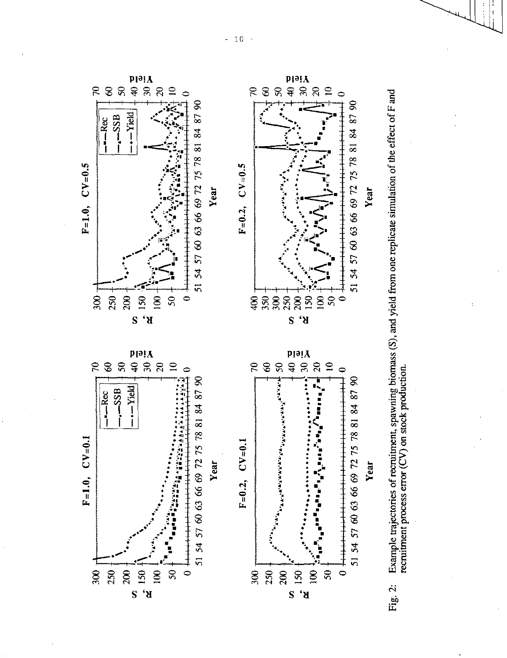

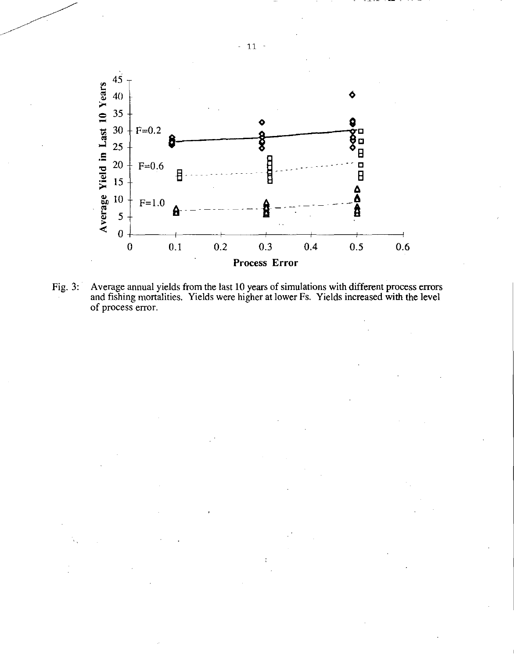

Fig. 3: Average annual yields from the last 10 years of simulations with different process errors and fishing mortalities. Yields were higher at lower Fs. Yields increased with the level of process error.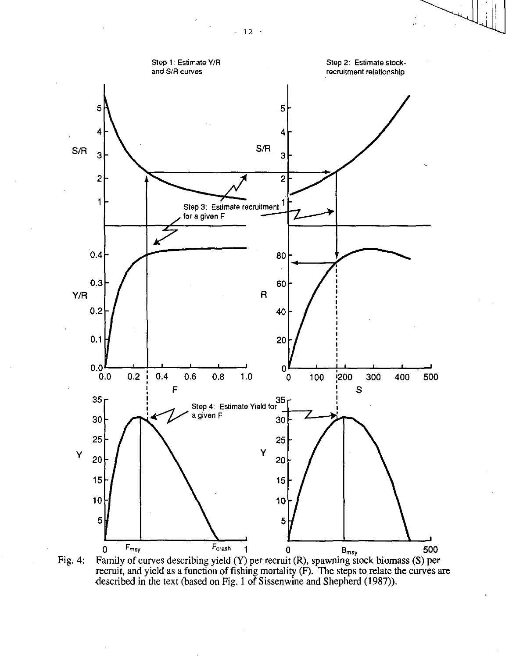

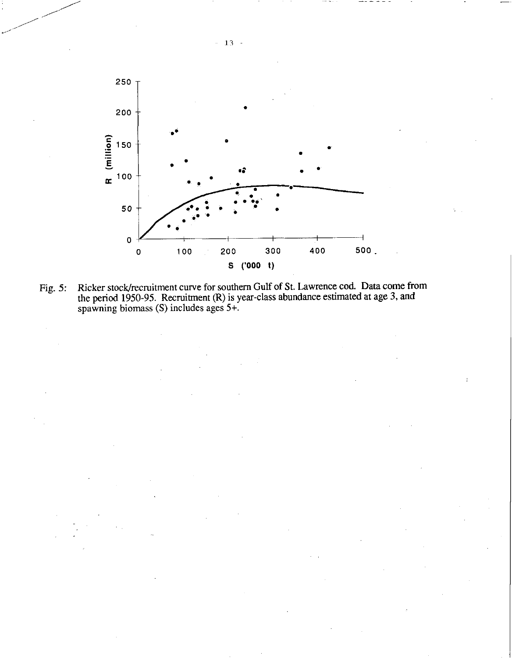

Fig. 5: Ricker stock/recruitment curve for southern Gulf of St. Lawrence cod. Data come from the period 1950-95. Recruitment (R) is year-class abundance estimated at age 3, and spawning biomass (S) includes ages 5+.

 $13 -$ 

 $\bar{\mathcal{A}}$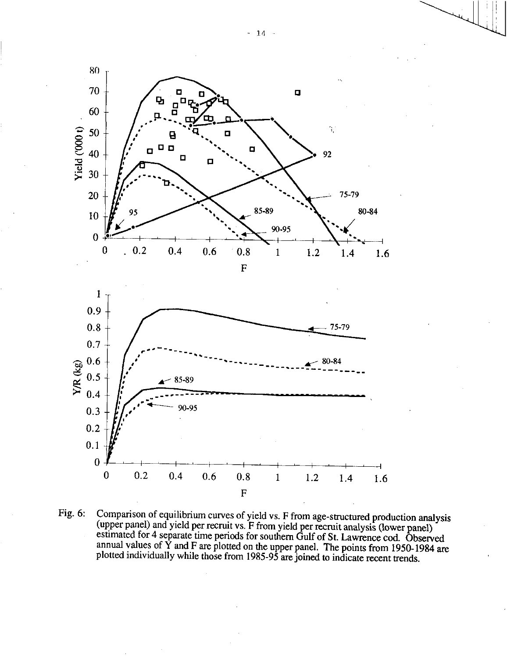

Fig. 6: Comparison of equilibrium curves of yield vs. F from age-structured production analysis (upper panel) and yield per recruit vs. F from yield per recruit analysis (lower panel) estimated for 4 separate time periods for southern Gulf of St. Lawrence cod. Observed annual values of  $\dot{Y}$  and F are plotted on the upper panel. The points from 1950-1984 are plotted individually while those from 1985-95 are joined to indicate recent trends.

 $-14 -$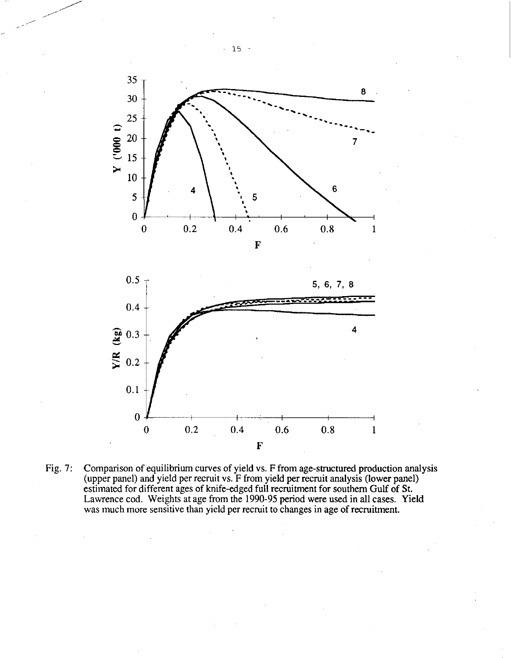



Fig. 7: Comparison of equilibrium curves of yield vs. F from age-structured production analysis (upper panel) and yield per recruit vs. F from yield per recruit analysis (lower panel) estimated for different ages of knife-edged full recruitment for southern Gulf of St. Lawrence cod. Weights at age from the 1990-95 period were used in all cases. Yield was much more sensitive than yield per recruit to changes in age of recruitment.